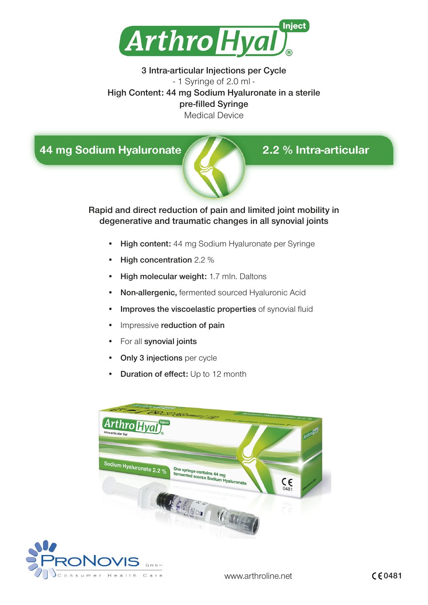

3 Intra-articular Injections per Cycle - 1 Syringe of 2.0 ml - High Content: 44 mg Sodium Hyaluronate in a sterile pre-filled Syringe Medical Device

44 mg Sodium Hyaluronate



# 2.2 % Intra-articular

Rapid and direct reduction of pain and limited joint mobility in degenerative and traumatic changes in all synovial joints

- High content: 44 mg Sodium Hyaluronate per Syringe
- High concentration 2.2 %
- High molecular weight: 1.7 mln. Daltons
- Non-allergenic, fermented sourced Hyaluronic Acid
- Improves the viscoelastic properties of synovial fluid
- Impressive reduction of pain
- For all synovial joints

onsumer Health Care

- **Only 3 injections** per cycle
- Duration of effect: Up to 12 month